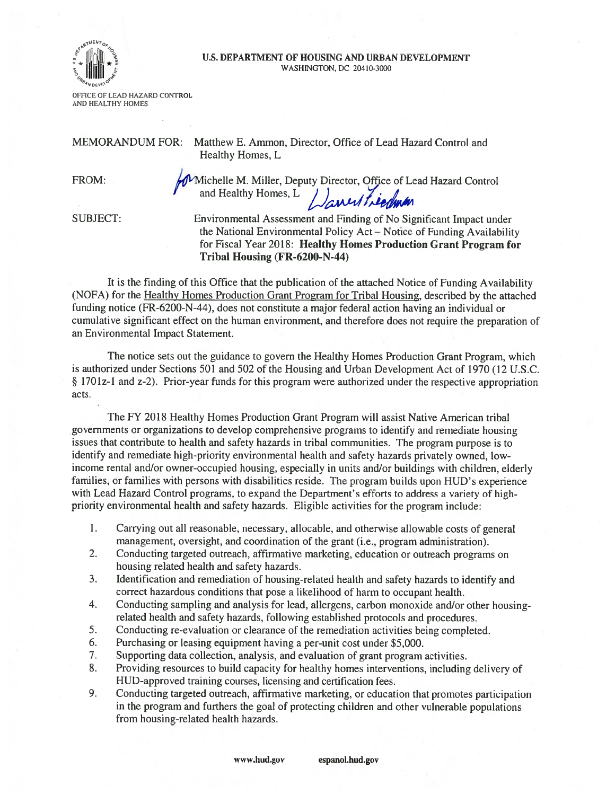

## U.S. DEPARTMENT OF HOUSING AND URBAN DEVELOPMENT WASHINGTON. DC 20410-3000

OFFICE OF LEAD HAZARD CONTROL AND HEALTHY HOMES

MEMORANDUM FOR: Matthew E. Ammon, Director, Office of Lead Hazard Control and

Healthy Homes, L

FROM: http://wichelle M. Miller, Deputy Director, Office of Lead Hazard Control and Healthy Homes, L

SUBJECT: Environmental Assessment and Finding of No Significant Impact under the National Environmental Policy Act — Notice of Funding Availability for Fiscal Year 2018: Healthy Homes Production Grant Program for Tribal Housing (FR-6200-N-44)

It is the finding of this Office that the publication of the attached Notice of Funding Availability (NOFA) for the Healthy Homes Production Grant Program for Tribal Housing, described by the attached funding notice (FR-6200-N-44), does not constitute <sup>a</sup> major federal action having an individual or cumulative significant effect on the human environment, and therefore does not require the preparation of an Environmental Impact Statement.

The notice sets out the guidance to govern the Healthy Homes Production Grant Program, which is authorized under Sections 501 and 502 of the Housing and Urban Development Act of 1970 (12 U.S.C. § 1701z-1 and z-2). Prior-year funds for this program were authorized under the respective appropriation acts.

The FY 2018 Healthy Homes Production Grant Program will assist Native American tribal governments or organizations to develop comprehensive programs to identify and remediate housing issues that contribute to health and safety hazards in tribal communities. The program purpose is to identify and remediate high-priority environmental health and safety hazards privately owned, lowincome rental and/or owner-occupied housing, especially in units and/or buildings with children, elderly families, or families with persons with disabilities reside. The program builds upon HUD's experience with Lead Hazard Control programs, to expan<sup>d</sup> the Department's efforts to address <sup>a</sup> variety of highpriority environmental health and safety hazards. Eligible activities for the program include:

- I. Carrying out all reasonable, necessary, allocable, and otherwise allowable costs of genera<sup>l</sup> management, oversight, and coordination of the gran<sup>t</sup> (i.e., program administration).
- 2. Conducting targeted outreach, affirmative marketing, education or outreach programs on housing related health and safety hazards.
- 3. Identification and remediation of housing-related health and safety hazards to identify and correct hazardous conditions that pose <sup>a</sup> likelihood of harm to occupan<sup>t</sup> health.
- 4. Conducting sampling and analysis for lead, allergens, carbon monoxide and/or other housingrelated health and safety hazards, following established protocols and procedures.
- 5. Conducting re-evaluation or clearance of the remediation activities being completed.
- 6. Purchasing or leasing equipment having <sup>a</sup> per-unit cost under \$5,000.
- 7. Supporting data collection, analysis, and evaluation of gran<sup>t</sup> program activities.
- 8. Providing resources to build capacity for healthy homes interventions, including delivery of HUD-approved training courses, licensing and certification fees.
- 9. Conducting targeted outreach, affirmative marketing, or education that promotes participation in the program and furthers the goa<sup>l</sup> of protecting children and other vulnerable populations from housing-related health hazards.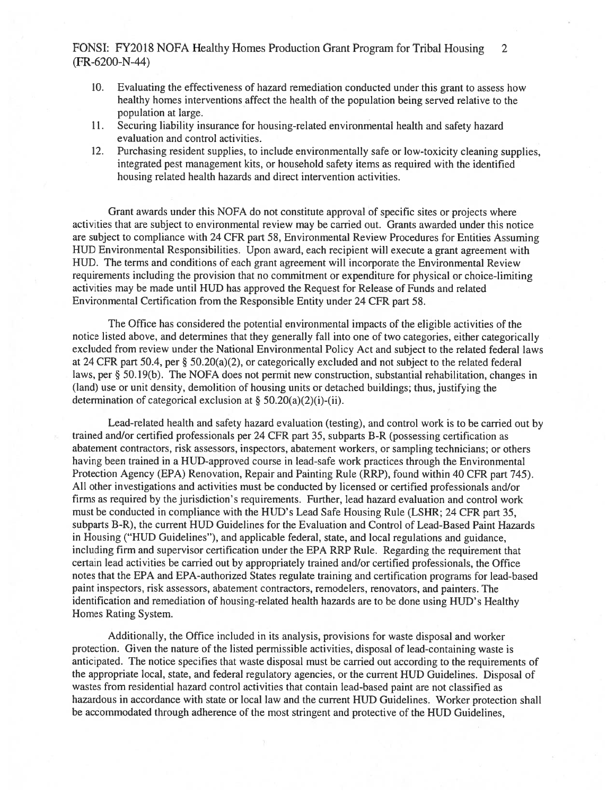## FONSI: FY2018 NOFA Healthy Homes Production Grant Program for Tribal Housing 2 (FR-6200-N-44)

- 10. Evaluating the effectiveness of hazard remediation conducted under this gran<sup>t</sup> to assess how healthy homes interventions affect the health of the population being served relative to the population at large.
- 11. Securing liability insurance for housing-related environmental health and safety hazard evaluation and control activities.
- 12. Purchasing resident supplies, to include environmentally safe or low-toxicity cleaning supplies, integrated pes<sup>t</sup> managemen<sup>t</sup> kits, or household safety items as required with the identified housing related health hazards and direct intervention activities.

Grant awards under this NOFA do not constitute approval of specific sites or projects where activities that are subject to environmental review may be carried out. Grants awarded under this notice are subject to compliance with 24 CFR par<sup>t</sup> 58, Environmental Review Procedures for Entities Assuming HUD Environmental Responsibilities. Upon award, each recipient will execute <sup>a</sup> gran<sup>t</sup> agreemen<sup>t</sup> with HUD. The terms and conditions of each gran<sup>t</sup> agreemen<sup>t</sup> will incorporate the Environmental Review requirements including the provision that no commitment or expenditure for physical or choice-limiting activities may be made until HUD has approved the Request for Release of Funds and related Environmental Certification from the Responsible Entity under 24 CFR par<sup>t</sup> 58.

The Office has considered the potential environmental impacts of the eligible activities of the notice listed above, and determines that they generally fall into one of two categories, either categorically excluded from review under the National Environmental Policy Act and subject to the related federal laws at <sup>24</sup> CFR par<sup>t</sup> 50.4, per § 50.20(a)(2), or categorically excluded and not subject to the related federal laws, per § 50. 19(b). The NOFA does not permit new construction, substantial rehabilitation, changes in (land) use or unit density, demolition of housing units or detached buildings; thus, justifying the determination of categorical exclusion at § 50.20(a)(2)(i)-(ii).

Lead-related health and safety hazard evaluation (testing), and control work is to be carried out by trained and/or certified professionals per 24 CFR par<sup>t</sup> 35, subparts B-R (possessing certification as abatement contractors, risk assessors, inspectors, abatement workers, or sampling technicians; or others having been trained in <sup>a</sup> HUD-approved course in lead-safe work practices through the Environmental Protection Agency (EPA) Renovation, Repair and Painting Rule (RRP), found within 40 CFR par<sup>t</sup> 745). All other investigations and activities must be conducted by licensed or certified professionals and/or firms as required by the jurisdiction's requirements. Further, lead hazard evaluation and control work must be conducted in compliance with the HUD's Lead Safe Housing Rule (LSHR; <sup>24</sup> CFR par<sup>t</sup> 35, subparts B-R), the current HUD Guidelines for the Evaluation and Control of Lead-Based Paint Hazards in Housing ("HUD Guidelines"), and applicable federal, state, and local regulations and guidance, including firm and supervisor certification under the EPA RRP Rule. Regarding the requirement that certain lead activities be carried out by appropriately trained and/or certified professionals, the Office notes that the EPA and EPA-authorized States regulate training and certification programs for lead-based paint inspectors, risk assessors, abatement contractors, remodelers, renovators, and painters. The identification and remediation of housing-related health hazards are to be done using HUD's Healthy Homes Rating System.

Additionally, the Office included in its analysis, provisions for waste disposal and worker protection. Given the nature of the listed permissible activities, disposal of lead-containing waste is anticipated. The notice specifies that waste disposal must be carried out according to the requirements of the appropriate local, state, and federal regulatory agencies, or the current HUD Guidelines. Disposal of wastes from residential hazard control activities that contain lead-based paint are not classified as hazardous in accordance with state or local law and the current HUD Guidelines. Worker protection shall be accommodated through adherence of the most stringent and protective of the HUD Guidelines,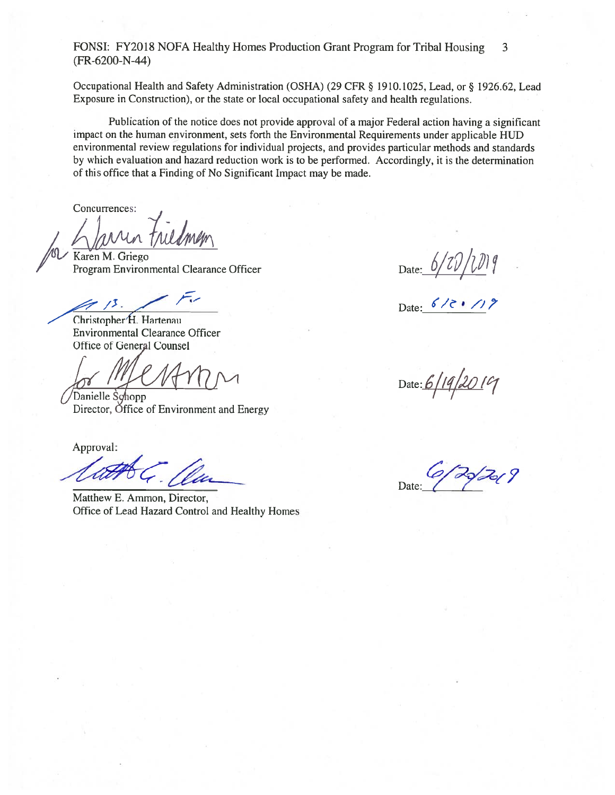FONSI: FY2018 NOFA Healthy Homes Production Grant Program for Tribal Housing 3 (FR-6200-N-44)

Occupational Health and Safety Administration (OSHA) (29 CFR § 1910.1025, Lead, or § 1926.62, Lead Exposure in Construction), or the state or local occupational safety and health regulations.

Publication of the notice does not provide approva<sup>l</sup> of <sup>a</sup> major Federal action having <sup>a</sup> significant impact on the human environment, sets forth the Environmental Requirements under applicable HUD environmental review regulations for individual projects, and provides particular methods and standards by which evaluation and hazard reduction work is to be performed. Accordingly, it is the determination of this office that <sup>a</sup> Finding of No Significant Impact may be made.

Concurrences:

Karen M. Griego  $P$ rogram Environmental Clearance Officer Date:  $\bigcirc$ 

Christopher<sup>H</sup>. Hartenau Environmental Clearance Officer Office of General Counsel

Danielle Schopp Director, Office of Environment and Energy

Approval:

Matthew E. Ammon, Director, Office of Lead Hazard Control and Healthy Homes

Date: 6/2 . 119

Date:  $6/19/2019$ 

Date: